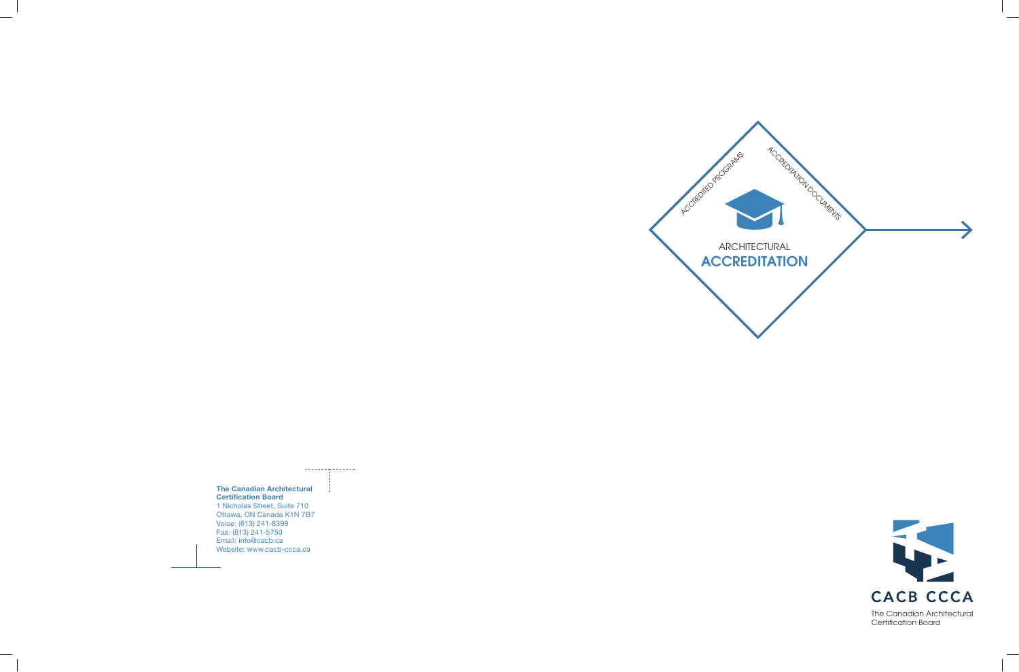

## 

## **The Canadian Architectural Certification Board**

1 Nicholas Street, Suite 710 Ottawa, ON Canada K1N 7B7 Voice: (613) 241-8399 Fax: (613) 241-5750 Email: info@cacb.ca Website: www.cacb-ccca.ca



The Canadian Architectural Certification Board